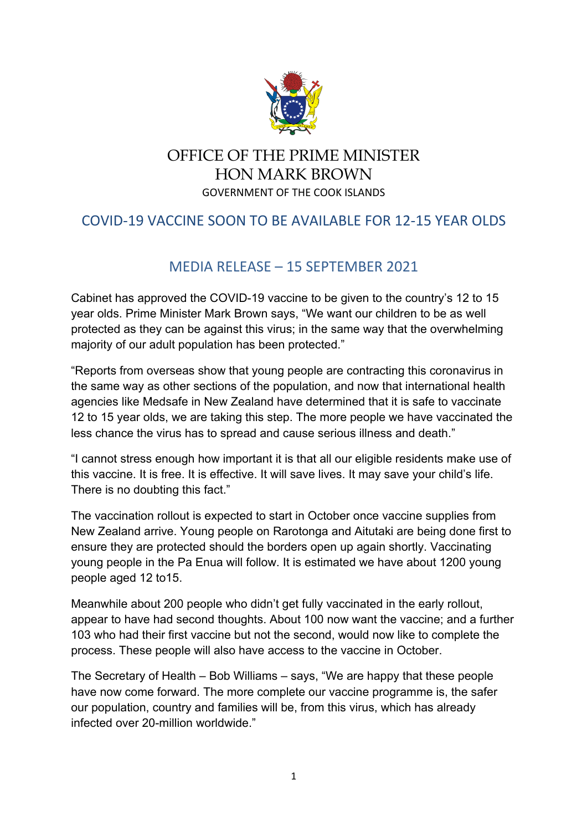

## OFFICE OF THE PRIME MINISTER HON MARK BROWN GOVERNMENT OF THE COOK ISLANDS

## COVID-19 VACCINE SOON TO BE AVAILABLE FOR 12-15 YEAR OLDS

## MEDIA RELEASE – 15 SEPTEMBER 2021

Cabinet has approved the COVID-19 vaccine to be given to the country's 12 to 15 year olds. Prime Minister Mark Brown says, "We want our children to be as well protected as they can be against this virus; in the same way that the overwhelming majority of our adult population has been protected."

"Reports from overseas show that young people are contracting this coronavirus in the same way as other sections of the population, and now that international health agencies like Medsafe in New Zealand have determined that it is safe to vaccinate 12 to 15 year olds, we are taking this step. The more people we have vaccinated the less chance the virus has to spread and cause serious illness and death."

"I cannot stress enough how important it is that all our eligible residents make use of this vaccine. It is free. It is effective. It will save lives. It may save your child's life. There is no doubting this fact."

The vaccination rollout is expected to start in October once vaccine supplies from New Zealand arrive. Young people on Rarotonga and Aitutaki are being done first to ensure they are protected should the borders open up again shortly. Vaccinating young people in the Pa Enua will follow. It is estimated we have about 1200 young people aged 12 to15.

Meanwhile about 200 people who didn't get fully vaccinated in the early rollout, appear to have had second thoughts. About 100 now want the vaccine; and a further 103 who had their first vaccine but not the second, would now like to complete the process. These people will also have access to the vaccine in October.

The Secretary of Health – Bob Williams – says, "We are happy that these people have now come forward. The more complete our vaccine programme is, the safer our population, country and families will be, from this virus, which has already infected over 20-million worldwide."